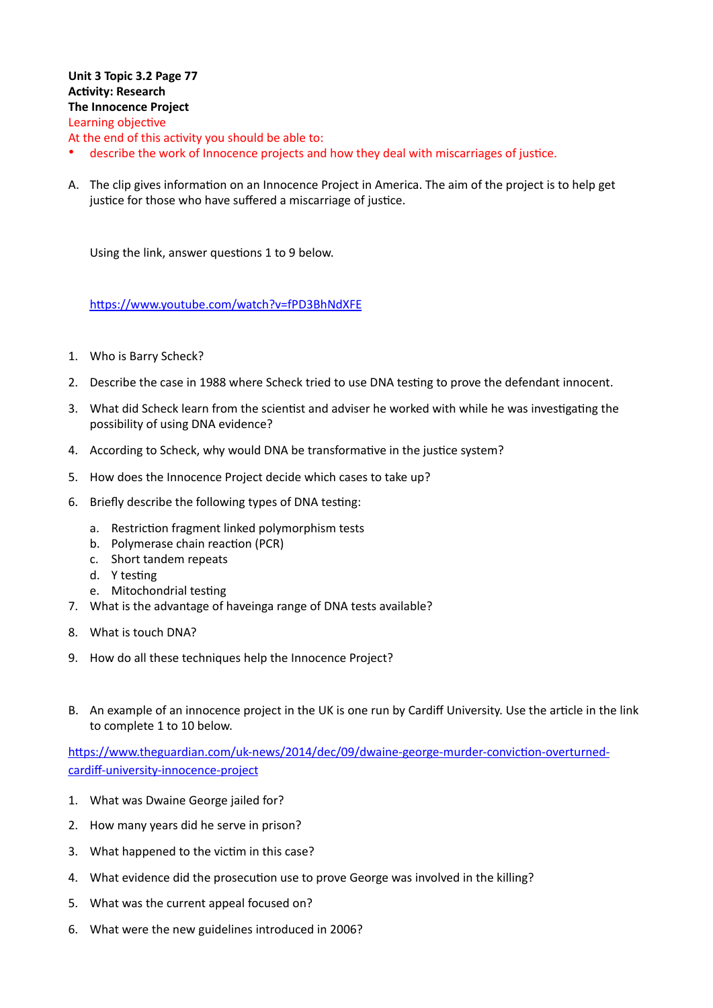## **Unit 3 Topic 3.2 Page 77 Activity: Research The Innocence Project** Learning objective

At the end of this activity you should be able to:

- describe the work of Innocence projects and how they deal with miscarriages of justice.
- A. The clip gives information on an Innocence Project in America. The aim of the project is to help get justice for those who have suffered a miscarriage of justice.

Using the link, answer questions 1 to 9 below.

https://www.youtube.com/watch?v=fPD3BhNdXFE

- 1. Who is Barry Scheck?
- 2. Describe the case in 1988 where Scheck tried to use DNA testing to prove the defendant innocent.
- 3. What did Scheck learn from the scientist and adviser he worked with while he was investigating the possibility of using DNA evidence?
- 4. According to Scheck, why would DNA be transformative in the justice system?
- 5. How does the Innocence Project decide which cases to take up?
- 6. Briefly describe the following types of DNA testing:
	- a. Restriction fragment linked polymorphism tests
	- b. Polymerase chain reaction (PCR)
	- c. Short tandem repeats
	- d. Y testing
	- e. Mitochondrial testing
- 7. What is the advantage of haveinga range of DNA tests available?
- 8. What is touch DNA?
- 9. How do all these techniques help the Innocence Project?
- B. An example of an innocence project in the UK is one run by Cardiff University. Use the article in the link to complete 1 to 10 below.

https://www.theguardian.com/uk-news/2014/dec/09/dwaine-george-murder-conviction-overturned[cardiff-university-innocence-project](https://www.theguardian.com/uk-news/2014/dec/09/dwaine-george-murder-conviction-overturned-cardiff-university-innocence-project)

- 1. What was Dwaine George jailed for?
- 2. How many years did he serve in prison?
- 3. What happened to the victim in this case?
- 4. What evidence did the prosecution use to prove George was involved in the killing?
- 5. What was the current appeal focused on?
- 6. What were the new guidelines introduced in 2006?